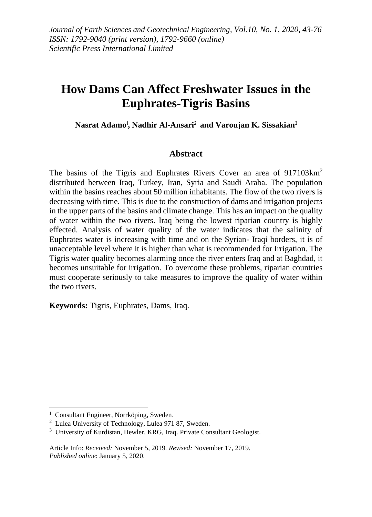# **How Dams Can Affect Freshwater Issues in the Euphrates-Tigris Basins**

## **Nasrat Adamo**<sup>1</sup> **, Nadhir Al-Ansari**<sup>2</sup> **and Varoujan K. Sissakian**<sup>3</sup>

### **Abstract**

The basins of the Tigris and Euphrates Rivers Cover an area of 917103km<sup>2</sup> distributed between Iraq, Turkey, Iran, Syria and Saudi Araba. The population within the basins reaches about 50 million inhabitants. The flow of the two rivers is decreasing with time. This is due to the construction of dams and irrigation projects in the upper parts of the basins and climate change. This has an impact on the quality of water within the two rivers. Iraq being the lowest riparian country is highly effected. Analysis of water quality of the water indicates that the salinity of Euphrates water is increasing with time and on the Syrian- Iraqi borders, it is of unacceptable level where it is higher than what is recommended for Irrigation. The Tigris water quality becomes alarming once the river enters Iraq and at Baghdad, it becomes unsuitable for irrigation. To overcome these problems, riparian countries must cooperate seriously to take measures to improve the quality of water within the two rivers.

**Keywords:** Tigris, Euphrates, Dams, Iraq.

<sup>&</sup>lt;sup>1</sup> Consultant Engineer, Norrköping, Sweden.

<sup>2</sup> Lulea University of Technology, Lulea 971 87, Sweden.

<sup>&</sup>lt;sup>3</sup> University of Kurdistan, Hewler, KRG, Iraq. Private Consultant Geologist.

Article Info: *Received:* November 5, 2019*. Revised:* November 17, 2019. *Published online*: January 5, 2020.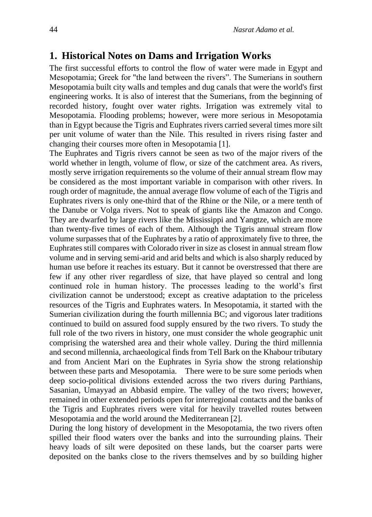## **1. Historical Notes on Dams and Irrigation Works**

The first successful efforts to control the flow of water were made in Egypt and Mesopotamia; Greek for "the land between the rivers". The Sumerians in southern Mesopotamia built city walls and temples and dug canals that were the world's first engineering works. It is also of interest that the Sumerians, from the beginning of recorded history, fought over water rights. Irrigation was extremely vital to Mesopotamia. Flooding problems; however, were more serious in Mesopotamia than in Egypt because the Tigris and Euphrates rivers carried several times more silt per unit volume of water than the Nile. This resulted in rivers rising faster and changing their courses more often in Mesopotamia [1].

The Euphrates and Tigris rivers cannot be seen as two of the major rivers of the world whether in length, volume of flow, or size of the catchment area. As rivers, mostly serve irrigation requirements so the volume of their annual stream flow may be considered as the most important variable in comparison with other rivers. In rough order of magnitude, the annual average flow volume of each of the Tigris and Euphrates rivers is only one-third that of the Rhine or the Nile, or a mere tenth of the Danube or Volga rivers. Not to speak of giants like the Amazon and Congo. They are dwarfed by large rivers like the Mississippi and Yangtze, which are more than twenty-five times of each of them. Although the Tigris annual stream flow volume surpasses that of the Euphrates by a ratio of approximately five to three, the Euphrates still compares with Colorado river in size as closest in annual stream flow volume and in serving semi-arid and arid belts and which is also sharply reduced by human use before it reaches its estuary. But it cannot be overstressed that there are few if any other river regardless of size, that have played so central and long continued role in human history. The processes leading to the world's first civilization cannot be understood; except as creative adaptation to the priceless resources of the Tigris and Euphrates waters. In Mesopotamia, it started with the Sumerian civilization during the fourth millennia BC; and vigorous later traditions continued to build on assured food supply ensured by the two rivers. To study the full role of the two rivers in history, one must consider the whole geographic unit comprising the watershed area and their whole valley. During the third millennia and second millennia, archaeological finds from Tell Bark on the Khabour tributary and from Ancient Mari on the Euphrates in Syria show the strong relationship between these parts and Mesopotamia. There were to be sure some periods when deep socio-political divisions extended across the two rivers during Parthians, Sasanian, Umayyad an Abbasid empire. The valley of the two rivers; however, remained in other extended periods open for interregional contacts and the banks of the Tigris and Euphrates rivers were vital for heavily travelled routes between Mesopotamia and the world around the Mediterranean [2].

During the long history of development in the Mesopotamia, the two rivers often spilled their flood waters over the banks and into the surrounding plains. Their heavy loads of silt were deposited on these lands, but the coarser parts were deposited on the banks close to the rivers themselves and by so building higher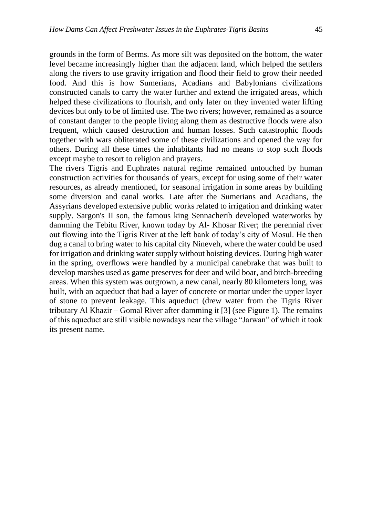grounds in the form of Berms. As more silt was deposited on the bottom, the water level became increasingly higher than the adjacent land, which helped the settlers along the rivers to use gravity irrigation and flood their field to grow their needed food. And this is how Sumerians, Acadians and Babylonians civilizations constructed canals to carry the water further and extend the irrigated areas, which helped these civilizations to flourish, and only later on they invented water lifting devices but only to be of limited use. The two rivers; however, remained as a source of constant danger to the people living along them as destructive floods were also frequent, which caused destruction and human losses. Such catastrophic floods together with wars obliterated some of these civilizations and opened the way for others. During all these times the inhabitants had no means to stop such floods except maybe to resort to religion and prayers.

The rivers Tigris and Euphrates natural regime remained untouched by human construction activities for thousands of years, except for using some of their water resources, as already mentioned, for seasonal irrigation in some areas by building some diversion and canal works. Late after the Sumerians and Acadians, the Assyrians developed extensive public works related to irrigation and drinking water supply. Sargon's II son, the famous king Sennacherib developed waterworks by damming the Tebitu River, known today by Al- Khosar River; the perennial river out flowing into the Tigris River at the left bank of today's city of Mosul. He then dug a canal to bring water to his capital city Nineveh, where the water could be used for irrigation and drinking water supply without hoisting devices. During high water in the spring, overflows were handled by a municipal canebrake that was built to develop marshes used as game preserves for deer and wild boar, and birch-breeding areas. When this system was outgrown, a new canal, nearly 80 kilometers long, was built, with an aqueduct that had a layer of concrete or mortar under the upper layer of stone to prevent leakage. This aqueduct (drew water from the Tigris River tributary Al Khazir – Gomal River after damming it [3] (see Figure 1). The remains of this aqueduct are still visible nowadays near the village "Jarwan" of which it took its present name.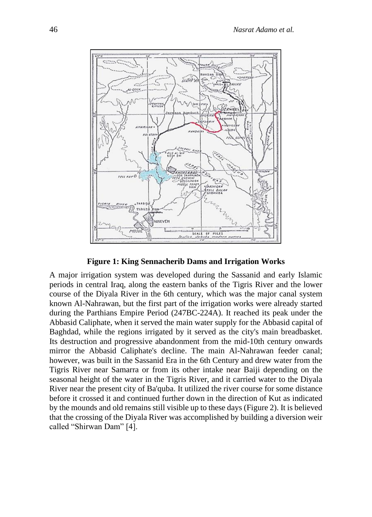

**Figure 1: King [Sennacherib](http://www.waterencyclopedia.com/knowledge/Sennacherib.html) Dams and Irrigation Works** 

A major irrigation system was developed during the Sassanid and early Islamic periods in central Iraq, along the eastern banks of the Tigris River and the lower course of the Diyala River in the 6th century, which was the major canal system known Al-Nahrawan, but the first part of the irrigation works were already started during the Parthians Empire Period (247BC-224A). It reached its peak under the Abbasid Caliphate, when it served the main water supply for the Abbasid capital of Baghdad, while the regions irrigated by it served as the city's main breadbasket. Its destruction and progressive abandonment from the mid-10th century onwards mirror the Abbasid Caliphate's decline. The main Al-Nahrawan feeder canal; however, was built in the Sassanid Era in the 6th Century and drew water from the Tigris River near Samarra or from its other intake near Baiji depending on the seasonal height of the water in the Tigris River, and it carried water to the Diyala River near the present city of Ba'quba. It utilized the river course for some distance before it crossed it and continued further down in the direction of Kut as indicated by the mounds and old remains still visible up to these days (Figure 2). It is believed that the crossing of the Diyala River was accomplished by building a diversion weir called "Shirwan Dam" [4].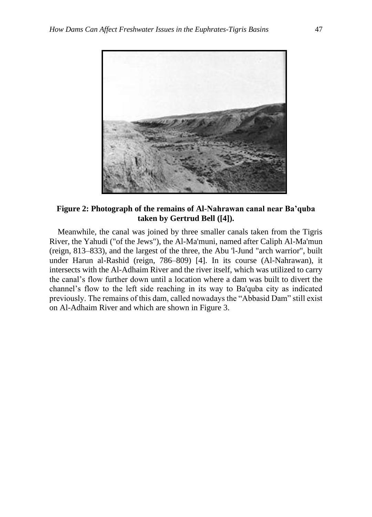

**Figure 2: Photograph of the remains of Al-Nahrawan canal near Ba'quba taken by Gertrud Bell ([4]).**

 Meanwhile, the canal was joined by three smaller canals taken from the Tigris River, the Yahudi ("of the Jews"), the Al-Ma'muni, named after Caliph Al-Ma'mun (reign, 813–833), and the largest of the three, the Abu 'l-Jund "arch warrior", built under Harun al-Rashid (reign, 786–809) [4]. In its course (Al-Nahrawan), it intersects with the Al-Adhaim River and the river itself, which was utilized to carry the canal's flow further down until a location where a dam was built to divert the channel's flow to the left side reaching in its way to Ba'quba city as indicated previously. The remains of this dam, called nowadays the "Abbasid Dam" still exist on Al-Adhaim River and which are shown in Figure 3.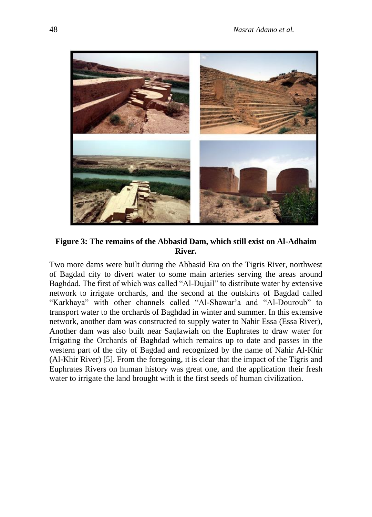

**Figure 3: The remains of the Abbasid Dam, which still exist on Al-Adhaim River.**

Two more dams were built during the Abbasid Era on the Tigris River, northwest of Bagdad city to divert water to some main arteries serving the areas around Baghdad. The first of which was called "Al-Dujail" to distribute water by extensive network to irrigate orchards, and the second at the outskirts of Bagdad called "Karkhaya" with other channels called "Al-Shawar'a and "Al-Douroub" to transport water to the orchards of Baghdad in winter and summer. In this extensive network, another dam was constructed to supply water to Nahir Essa (Essa River), Another dam was also built near Saqlawiah on the Euphrates to draw water for Irrigating the Orchards of Baghdad which remains up to date and passes in the western part of the city of Bagdad and recognized by the name of Nahir Al-Khir (Al-Khir River) [5]. From the foregoing, it is clear that the impact of the Tigris and Euphrates Rivers on human history was great one, and the application their fresh water to irrigate the land brought with it the first seeds of human civilization.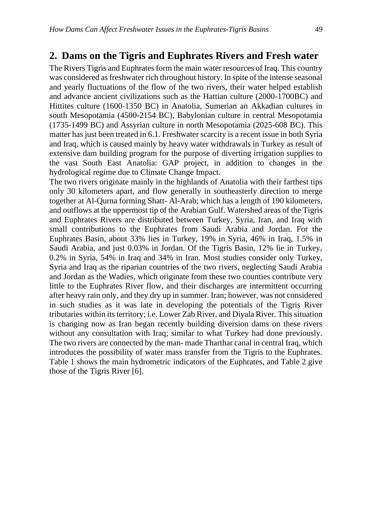### **2. Dams on the Tigris and Euphrates Rivers and Fresh water**

The Rivers Tigris and Euphrates form the main water resources of Iraq. This country was considered as freshwater rich throughout history. In spite of the intense seasonal and yearly fluctuations of the flow of the two rivers, their water helped establish and advance ancient civilizations such as the Hattian culture (2000-1700BC) and Hittites culture (1600-1350 BC) in Anatolia, Sumerian an Akkadian cultures in south Mesopotamia (4500-2154 BC), Babylonian culture in central Mesopotamia (1735-1499 BC) and Assyrian culture in north Mesopotamia (2025-608 BC). This matter has just been treated in 6.1. Freshwater scarcity is a recent issue in both Syria and Iraq, which is caused mainly by heavy water withdrawals in Turkey as result of extensive dam building program for the purpose of diverting irrigation supplies to the vast South East Anatolia: GAP project, in addition to changes in the hydrological regime due to Climate Change Impact.

The two rivers originate mainly in the highlands of Anatolia with their farthest tips only 30 kilometers apart, and flow generally in southeasterly direction to merge together at Al-Qurna forming Shatt- Al-Arab; which has a length of 190 kilometers, and outflows at the uppermost tip of the Arabian Gulf. Watershed areas of the Tigris and Euphrates Rivers are distributed between Turkey, Syria, Iran, and Iraq with small contributions to the Euphrates from Saudi Arabia and Jordan. For the Euphrates Basin, about 33% lies in Turkey, 19% in Syria, 46% in Iraq, 1.5% in Saudi Arabia, and just 0.03% in Jordan. Of the Tigris Basin, 12% lie in Turkey, 0.2% in Syria, 54% in Iraq and 34% in Iran. Most studies consider only Turkey, Syria and Iraq as the riparian countries of the two rivers, neglecting Saudi Arabia and Jordan as the Wadies, which originate from these two counties contribute very little to the Euphrates River flow, and their discharges are intermittent occurring after heavy rain only, and they dry up in summer. Iran; however, was not considered in such studies as it was late in developing the potentials of the Tigris River tributaries within its territory; i.e. Lower Zab River, and Diyala River. This situation is changing now as Iran began recently building diversion dams on these rivers without any consultation with Iraq; similar to what Turkey had done previously. The two rivers are connected by the man- made Tharthar canal in central Iraq, which introduces the possibility of water mass transfer from the Tigris to the Euphrates. Table 1 shows the main hydrometric indicators of the Euphrates, and Table 2 give those of the Tigris River [6].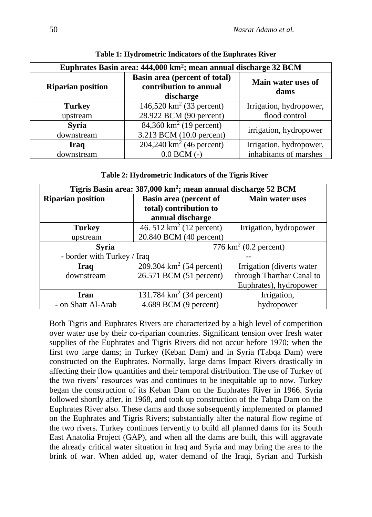| Euphrates Basin area: 444,000 km <sup>2</sup> ; mean annual discharge 32 BCM |                                                                      |                         |  |  |  |
|------------------------------------------------------------------------------|----------------------------------------------------------------------|-------------------------|--|--|--|
| <b>Riparian position</b>                                                     | Basin area (percent of total)<br>contribution to annual<br>discharge |                         |  |  |  |
| <b>Turkey</b>                                                                | 146,520 $km^2$ (33 percent)                                          | Irrigation, hydropower, |  |  |  |
| upstream                                                                     | 28.922 BCM (90 percent)                                              | flood control           |  |  |  |
| <b>Syria</b><br>downstream                                                   | 84,360 km <sup>2</sup> (19 percent)<br>3.213 BCM (10.0 percent)      | irrigation, hydropower  |  |  |  |
| <b>Iraq</b>                                                                  | 204,240 km <sup>2</sup> (46 percent)                                 | Irrigation, hydropower, |  |  |  |
| downstream                                                                   | $0.0$ BCM $(-)$                                                      | inhabitants of marshes  |  |  |  |

### **Table 2: Hydrometric Indicators of the Tigris River**

| Tigris Basin area: 387,000 km <sup>2</sup> ; mean annual discharge 52 BCM |                               |  |                                   |  |  |
|---------------------------------------------------------------------------|-------------------------------|--|-----------------------------------|--|--|
| <b>Riparian position</b>                                                  | <b>Basin area (percent of</b> |  | <b>Main water uses</b>            |  |  |
|                                                                           | total) contribution to        |  |                                   |  |  |
|                                                                           | annual discharge              |  |                                   |  |  |
| <b>Turkey</b>                                                             | 46. 512 $km^2$ (12 percent)   |  | Irrigation, hydropower            |  |  |
| upstream                                                                  | 20.840 BCM (40 percent)       |  |                                   |  |  |
| <b>Syria</b>                                                              |                               |  | 776 km <sup>2</sup> (0.2 percent) |  |  |
| - border with Turkey / Iraq                                               |                               |  |                                   |  |  |
| Iraq                                                                      | 209.304 $km^2$ (54 percent)   |  | Irrigation (diverts water         |  |  |
| downstream                                                                | 26.571 BCM (51 percent)       |  | through Tharthar Canal to         |  |  |
|                                                                           |                               |  | Euphrates), hydropower            |  |  |
| Iran                                                                      | 131.784 $km^2$ (34 percent)   |  | Irrigation,                       |  |  |
| - on Shatt Al-Arab                                                        | $4.689$ BCM (9 percent)       |  | hydropower                        |  |  |

Both Tigris and Euphrates Rivers are characterized by a high level of competition over water use by their co-riparian countries. Significant tension over fresh water supplies of the Euphrates and Tigris Rivers did not occur before 1970; when the first two large dams; in Turkey (Keban Dam) and in Syria (Tabqa Dam) were constructed on the Euphrates. Normally, large dams Impact Rivers drastically in affecting their flow quantities and their temporal distribution. The use of Turkey of the two rivers' resources was and continues to be inequitable up to now. Turkey began the construction of its Keban Dam on the Euphrates River in 1966. Syria followed shortly after, in 1968, and took up construction of the Tabqa Dam on the Euphrates River also. These dams and those subsequently implemented or planned on the Euphrates and Tigris Rivers; substantially alter the natural flow regime of the two rivers. Turkey continues fervently to build all planned dams for its South East Anatolia Project (GAP), and when all the dams are built, this will aggravate the already critical water situation in Iraq and Syria and may bring the area to the brink of war. When added up, water demand of the Iraqi, Syrian and Turkish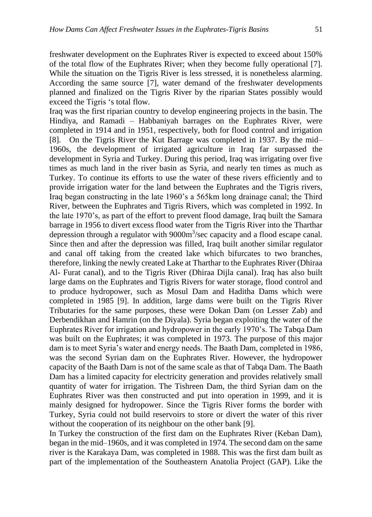freshwater development on the Euphrates River is expected to exceed about 150% of the total flow of the Euphrates River; when they become fully operational [7]. While the situation on the Tigris River is less stressed, it is nonetheless alarming. According the same source [7], water demand of the freshwater developments planned and finalized on the Tigris River by the riparian States possibly would exceed the Tigris 's total flow.

Iraq was the first riparian country to develop engineering projects in the basin. The Hindiya, and Ramadi – Habbaniyah barrages on the Euphrates River, were completed in 1914 and in 1951, respectively, both for flood control and irrigation [8]. On the Tigris River the Kut Barrage was completed in 1937. By the mid– 1960s, the development of irrigated agriculture in Iraq far surpassed the development in Syria and Turkey. During this period, Iraq was irrigating over five times as much land in the river basin as Syria, and nearly ten times as much as Turkey. To continue its efforts to use the water of these rivers efficiently and to provide irrigation water for the land between the Euphrates and the Tigris rivers, Iraq began constructing in the late 1960's a 565km long drainage canal; the Third River, between the Euphrates and Tigris Rivers, which was completed in 1992. In the late 1970's, as part of the effort to prevent flood damage, Iraq built the Samara barrage in 1956 to divert excess flood water from the Tigris River into the Tharthar depression through a regulator with 9000m<sup>3</sup>/sec capacity and a flood escape canal. Since then and after the depression was filled, Iraq built another similar regulator and canal off taking from the created lake which bifurcates to two branches, therefore, linking the newly created Lake at Tharthar to the Euphrates River (Dhiraa Al- Furat canal), and to the Tigris River (Dhiraa Dijla canal). Iraq has also built large dams on the Euphrates and Tigris Rivers for water storage, flood control and to produce hydropower, such as Mosul Dam and Haditha Dams which were completed in 1985 [9]. In addition, large dams were built on the Tigris River Tributaries for the same purposes, these were Dokan Dam (on Lesser Zab) and Derbendikhan and Hamrin (on the Diyala). Syria began exploiting the water of the Euphrates River for irrigation and hydropower in the early 1970's. The Tabqa Dam was built on the Euphrates; it was completed in 1973. The purpose of this major dam is to meet Syria's water and energy needs. The Baath Dam, completed in 1986, was the second Syrian dam on the Euphrates River. However, the hydropower capacity of the Baath Dam is not of the same scale as that of Tabqa Dam. The Baath Dam has a limited capacity for electricity generation and provides relatively small quantity of water for irrigation. The Tishreen Dam, the third Syrian dam on the Euphrates River was then constructed and put into operation in 1999, and it is mainly designed for hydropower. Since the Tigris River forms the border with Turkey, Syria could not build reservoirs to store or divert the water of this river without the cooperation of its neighbour on the other bank [9].

In Turkey the construction of the first dam on the Euphrates River (Keban Dam), began in the mid–1960s, and it was completed in 1974. The second dam on the same river is the Karakaya Dam, was completed in 1988. This was the first dam built as part of the implementation of the Southeastern Anatolia Project (GAP). Like the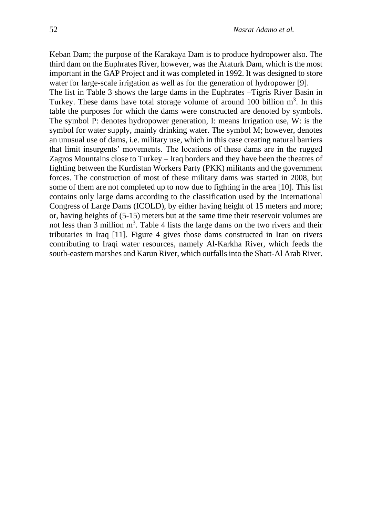Keban Dam; the purpose of the Karakaya Dam is to produce hydropower also. The third dam on the Euphrates River, however, was the Ataturk Dam, which is the most important in the GAP Project and it was completed in 1992. It was designed to store water for large-scale irrigation as well as for the generation of hydropower [9].

The list in Table 3 shows the large dams in the Euphrates –Tigris River Basin in Turkey. These dams have total storage volume of around 100 billion  $m<sup>3</sup>$ . In this table the purposes for which the dams were constructed are denoted by symbols. The symbol P: denotes hydropower generation, I: means Irrigation use, W: is the symbol for water supply, mainly drinking water. The symbol M; however, denotes an unusual use of dams, i.e. military use, which in this case creating natural barriers that limit insurgents' movements. The locations of these dams are in the rugged Zagros Mountains close to Turkey – Iraq borders and they have been the theatres of fighting between the Kurdistan Workers Party (PKK) militants and the government forces. The construction of most of these military dams was started in 2008, but some of them are not completed up to now due to fighting in the area [10]. This list contains only large dams according to the classification used by the International Congress of Large Dams (ICOLD), by either having height of 15 meters and more; or, having heights of (5-15) meters but at the same time their reservoir volumes are not less than  $3$  million  $m<sup>3</sup>$ . Table 4 lists the large dams on the two rivers and their tributaries in Iraq [11]. Figure 4 gives those dams constructed in Iran on rivers contributing to Iraqi water resources, namely Al-Karkha River, which feeds the south-eastern marshes and Karun River, which outfalls into the Shatt-Al Arab River.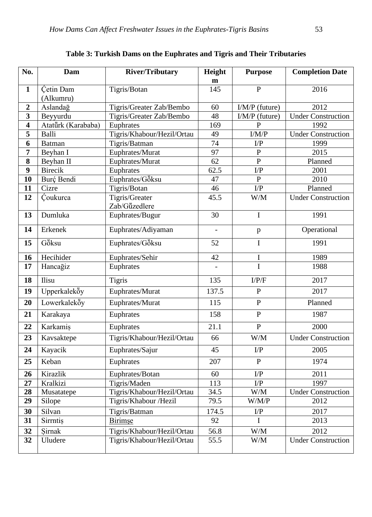| No.                     | Dam                                | <b>River/Tributary</b>          | Height              | <b>Purpose</b>                                    | <b>Completion Date</b>    |  |
|-------------------------|------------------------------------|---------------------------------|---------------------|---------------------------------------------------|---------------------------|--|
| $\mathbf{1}$            | Cetin Dam                          | Tigris/Botan                    | $\mathbf{m}$<br>145 | $\mathbf{P}$                                      | 2016                      |  |
|                         | (Alkumru)                          |                                 |                     |                                                   |                           |  |
| $\overline{2}$          | Aslandağ                           | Tigris/Greater Zab/Bembo        | 60                  | $I/M/P$ (future)                                  | 2012                      |  |
| 3                       | Beyyurdu                           | Tigris/Greater Zab/Bembo        | 48                  | I/M/P (future)                                    | <b>Under Construction</b> |  |
| $\overline{\mathbf{4}}$ | Atatürk (Karababa)                 | Euphrates                       | 169                 | $\overline{P}$                                    | 1992                      |  |
| 5                       | Balli                              | Tigris/Khabour/Hezil/Ortau      | 49                  | $\rm I/M/P$                                       | <b>Under Construction</b> |  |
| 6                       | Batman                             | Tigris/Batman                   | 74                  | $\Gamma$                                          | 1999                      |  |
| $\overline{7}$          | Beyhan I                           | Euphrates/Murat                 | 97                  | ${\bf P}$                                         | 2015                      |  |
| 8                       | Beyhan II                          | Euphrates/Murat                 | 62                  | ${\bf P}$                                         | Planned                   |  |
| 9                       | <b>Birecik</b>                     | Euphrates                       | 62.5                | I/P                                               | 2001                      |  |
| 10                      | Burç Bendi                         | Euphrates/Göksu                 | 47                  | $\, {\bf P}$                                      | 2010                      |  |
| 11                      | Cizre                              | Tigris/Botan                    | 46                  | $\rm{L/P}$                                        | Planned                   |  |
| 12                      | Coukurca                           | Tigris/Greater<br>Zab/Güzedlere | 45.5                | W/M                                               | <b>Under Construction</b> |  |
| 13                      | Dumluka                            | Euphrates/Bugur                 | 30                  | $\mathbf I$                                       | 1991                      |  |
| 14                      | Erkenek                            | Euphrates/Adiyaman              |                     | $\, {\bf p}$                                      | Operational               |  |
| 15                      | $\overline{G}$ $\ddot{\delta}$ ksu | Euphrates/Göksu                 | 52                  | I                                                 | 1991                      |  |
| 16                      | Hecihider                          | Euphrates/Sehir                 | 42                  | $\bf I$                                           | 1989                      |  |
| 17                      | Hancagiz                           | Euphrates                       |                     | I                                                 | 1988                      |  |
| 18                      | Ilisu                              | <b>Tigris</b>                   | 135                 | I/P/F                                             | 2017                      |  |
| 19                      | Upperkaleköy                       | Euphrates/Murat                 | 137.5               | ${\bf P}$                                         | 2017                      |  |
| 20                      | Lowerkaleköy                       | Euphrates/Murat                 | 115                 | $\, {\bf P}$                                      | Planned                   |  |
| 21                      | Karakaya                           | Euphrates                       | 158                 | $\mathbf{P}$                                      | 1987                      |  |
| 22                      | Karkamis                           | Euphrates                       | 21.1                | ${\bf P}$                                         | 2000                      |  |
| 23                      | Kavsaktepe                         | Tigris/Khabour/Hezil/Ortau      | 66                  | W/M                                               | <b>Under Construction</b> |  |
| 24                      | Kayacik                            | Euphrates/Sajur                 | 45                  | $\Gamma$                                          | 2005                      |  |
| 25                      | Keban                              | Euphrates                       | 207                 | ${\bf P}$                                         | 1974                      |  |
| $\overline{26}$         | Kirazlik                           | Euphrates/Botan                 | 60                  | $\mathop{\rm I}\nolimits/\mathop{\rm P}\nolimits$ | 2011                      |  |
| 27                      | Kralkizi                           | Tigris/Maden                    | 113                 | $\Gamma$                                          | 1997                      |  |
| 28                      | Musatatepe                         | Tigris/Khabour/Hezil/Ortau      | 34.5                | W/M                                               | <b>Under Construction</b> |  |
| 29                      | Silope                             | Tigris/Khabour /Hezil           | 79.5                | W/M/P                                             | 2012                      |  |
| 30                      | Silvan                             | Tigris/Batman                   | 174.5               | $\Gamma$                                          | 2017                      |  |
| 31                      | Sirrntis                           | <b>Birimse</b>                  | 92                  | I                                                 | 2013                      |  |
| 32                      | Sirnak                             | Tigris/Khabour/Hezil/Ortau      | 56.8                | W/M                                               | 2012                      |  |
| 32                      | Uludere                            | Tigris/Khabour/Hezil/Ortau      | 55.5                | W/M                                               | <b>Under Construction</b> |  |

# **Table 3: Turkish Dams on the Euphrates and Tigris and Their Tributaries**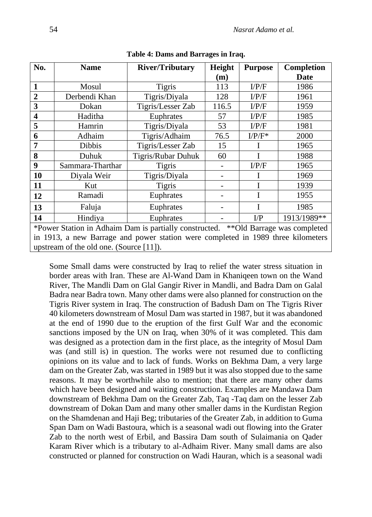| No.                                                                                 | <b>Name</b>      | <b>River/Tributary</b> | Height | <b>Purpose</b> | <b>Completion</b> |
|-------------------------------------------------------------------------------------|------------------|------------------------|--------|----------------|-------------------|
|                                                                                     |                  |                        | (m)    |                | <b>Date</b>       |
| 1                                                                                   | Mosul            | <b>Tigris</b>          | 113    | I/P/F          | 1986              |
| $\overline{2}$                                                                      | Derbendi Khan    | Tigris/Diyala          | 128    | I/P/F          | 1961              |
| 3                                                                                   | Dokan            | Tigris/Lesser Zab      | 116.5  | I/P/F          | 1959              |
| $\overline{\mathbf{4}}$                                                             | Haditha          | Euphrates              | 57     | I/P/F          | 1985              |
| 5                                                                                   | Hamrin           | Tigris/Diyala          | 53     | I/P/F          | 1981              |
| 6                                                                                   | Adhaim           | Tigris/Adhaim          | 76.5   | $I/P/F^*$      | 2000              |
| 7                                                                                   | <b>Dibbis</b>    | Tigris/Lesser Zab      | 15     |                | 1965              |
| 8                                                                                   | Duhuk            | Tigris/Rubar Duhuk     | 60     |                | 1988              |
| 9                                                                                   | Sammara-Tharthar | <b>Tigris</b>          |        | I/P/F          | 1965              |
| 10                                                                                  | Diyala Weir      | Tigris/Diyala          |        | I              | 1969              |
| 11                                                                                  | Kut              | <b>Tigris</b>          |        | I              | 1939              |
| 12                                                                                  | Ramadi           | Euphrates              |        | T              | 1955              |
| 13                                                                                  | Faluja           | Euphrates              |        | Ι              | 1985              |
| 14                                                                                  | Hindiya          | Euphrates              |        | $\Gamma$       | 1913/1989**       |
| *Power Station in Adhaim Dam is partially constructed. ** Old Barrage was completed |                  |                        |        |                |                   |
| in 1913, a new Barrage and power station were completed in 1989 three kilometers    |                  |                        |        |                |                   |
| upstream of the old one. (Source $[11]$ ).                                          |                  |                        |        |                |                   |

**Table 4: Dams and Barrages in Iraq.**

Some Small dams were constructed by Iraq to relief the water stress situation in border areas with Iran. These are Al-Wand Dam in Khaniqeen town on the Wand River, The Mandli Dam on Glal Gangir River in Mandli, and Badra Dam on Galal Badra near Badra town. Many other dams were also planned for construction on the Tigris River system in Iraq. The construction of Badush Dam on The Tigris River 40 kilometers downstream of Mosul Dam was started in 1987, but it was abandoned at the end of 1990 due to the eruption of the first Gulf War and the economic sanctions imposed by the UN on Iraq, when 30% of it was completed. This dam was designed as a protection dam in the first place, as the integrity of Mosul Dam was (and still is) in question. The works were not resumed due to conflicting opinions on its value and to lack of funds. Works on Bekhma Dam, a very large dam on the Greater Zab, was started in 1989 but it was also stopped due to the same reasons. It may be worthwhile also to mention; that there are many other dams which have been designed and waiting construction. Examples are Mandawa Dam downstream of Bekhma Dam on the Greater Zab, Taq -Taq dam on the lesser Zab downstream of Dokan Dam and many other smaller dams in the Kurdistan Region on the Shamdenan and Haji Beg; tributaries of the Greater Zab, in addition to Guma Span Dam on Wadi Bastoura, which is a seasonal wadi out flowing into the Grater Zab to the north west of Erbil, and Bassira Dam south of Sulaimania on Qader Karam River which is a tributary to al-Adhaim River. Many small dams are also constructed or planned for construction on Wadi Hauran, which is a seasonal wadi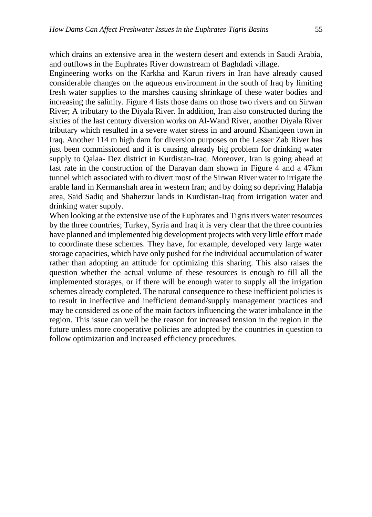which drains an extensive area in the western desert and extends in Saudi Arabia, and outflows in the Euphrates River downstream of Baghdadi village.

Engineering works on the Karkha and Karun rivers in Iran have already caused considerable changes on the aqueous environment in the south of Iraq by limiting fresh water supplies to the marshes causing shrinkage of these water bodies and increasing the salinity. Figure 4 lists those dams on those two rivers and on Sirwan River; A tributary to the Diyala River. In addition, Iran also constructed during the sixties of the last century diversion works on Al-Wand River, another Diyala River tributary which resulted in a severe water stress in and around Khaniqeen town in Iraq. Another 114 m high dam for diversion purposes on the Lesser Zab River has just been commissioned and it is causing already big problem for drinking water supply to Qalaa- Dez district in Kurdistan-Iraq. Moreover, Iran is going ahead at fast rate in the construction of the Darayan dam shown in Figure 4 and a 47km tunnel which associated with to divert most of the Sirwan River water to irrigate the arable land in Kermanshah area in western Iran; and by doing so depriving Halabja area, Said Sadiq and Shaherzur lands in Kurdistan-Iraq from irrigation water and drinking water supply.

When looking at the extensive use of the Euphrates and Tigris rivers water resources by the three countries; Turkey, Syria and Iraq it is very clear that the three countries have planned and implemented big development projects with very little effort made to coordinate these schemes. They have, for example, developed very large water storage capacities, which have only pushed for the individual accumulation of water rather than adopting an attitude for optimizing this sharing. This also raises the question whether the actual volume of these resources is enough to fill all the implemented storages, or if there will be enough water to supply all the irrigation schemes already completed. The natural consequence to these inefficient policies is to result in ineffective and inefficient demand/supply management practices and may be considered as one of the main factors influencing the water imbalance in the region. This issue can well be the reason for increased tension in the region in the future unless more cooperative policies are adopted by the countries in question to follow optimization and increased efficiency procedures.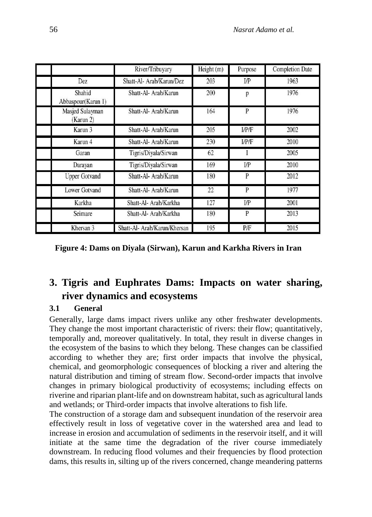|                              | River/Tribuyary              | Height (m) | Purpose        | <b>Completion Date</b> |
|------------------------------|------------------------------|------------|----------------|------------------------|
| Dez                          | Shatt-Al- Arab/Karun/Dez     | 203        | $_{\text{UP}}$ | 1963                   |
| Shahid<br>Abbaspour(Karun 1) | Shatt-Al- Arab/Karun         | 200        | p              | 1976                   |
| Masjed Sulayman<br>(Karun 2) | Shatt-Al-Arab/Karun          | 164        | P              | 1976                   |
| Karun 3                      | Shatt-Al- Arab/Karun         | 205        | I/P/F          | 2002                   |
| Karun 4                      | Shatt-Al- Arab/Karun         | 230        | I/P/F          | 2010                   |
| Garan                        | Tigris/Diyala/Sirwan         | 62         | Ι              | 2005                   |
| Darayan                      | Tigris/Diyala/Sirwan         | 169        | $_{\text{UP}}$ | 2010                   |
| <b>Upper Gotvand</b>         | Shatt-Al- Arab/Karun         | 180        | P              | 2012                   |
| <b>Lower Gotvand</b>         | Shatt-Al- Arab/Karun         | 22         | P              | 1977                   |
| Karkha                       | Shatt-Al- Arab/Karkha        | 127        | $_{\text{UP}}$ | 2001                   |
| Seimare                      | Shatt-Al-Arab/Karkha         | 180        | P              | 2013                   |
| Khersan 3                    | Shatt-Al- Arab/Karun/Khersan | 195        | P/F            | 2015                   |

**Figure 4: Dams on Diyala (Sirwan), Karun and Karkha Rivers in Iran**

# **3. Tigris and Euphrates Dams: Impacts on water sharing, river dynamics and ecosystems**

### **3.1 General**

Generally, large dams impact rivers unlike any other freshwater developments. They change the most important characteristic of rivers: their flow; quantitatively, temporally and, moreover qualitatively. In total, they result in diverse changes in the ecosystem of the basins to which they belong. These changes can be classified according to whether they are; first order impacts that involve the physical, chemical, and geomorphologic consequences of blocking a river and altering the natural distribution and timing of stream flow. Second-order impacts that involve changes in primary biological productivity of ecosystems; including effects on riverine and riparian plant-life and on downstream habitat, such as agricultural lands and wetlands; or Third-order impacts that involve alterations to fish life.

The construction of a storage dam and subsequent inundation of the reservoir area effectively result in loss of vegetative cover in the watershed area and lead to increase in erosion and accumulation of sediments in the reservoir itself, and it will initiate at the same time the degradation of the river course immediately downstream. In reducing flood volumes and their frequencies by flood protection dams, this results in, silting up of the rivers concerned, change meandering patterns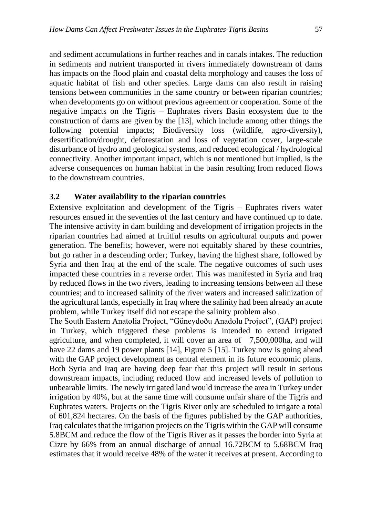and sediment accumulations in further reaches and in canals intakes. The reduction in sediments and nutrient transported in rivers immediately downstream of dams has impacts on the flood plain and coastal delta morphology and causes the loss of aquatic habitat of fish and other species. Large dams can also result in raising tensions between communities in the same country or between riparian countries; when developments go on without previous agreement or cooperation. Some of the negative impacts on the Tigris – Euphrates rivers Basin ecosystem due to the construction of dams are given by the [13], which include among other things the following potential impacts; Biodiversity loss (wildlife, agro-diversity), desertification/drought, deforestation and loss of vegetation cover, large-scale disturbance of hydro and geological systems, and reduced ecological / hydrological connectivity. Another important impact, which is not mentioned but implied, is the adverse consequences on human habitat in the basin resulting from reduced flows to the downstream countries.

#### **3.2 Water availability to the riparian countries**

Extensive exploitation and development of the Tigris – Euphrates rivers water resources ensued in the seventies of the last century and have continued up to date. The intensive activity in dam building and development of irrigation projects in the riparian countries had aimed at fruitful results on agricultural outputs and power generation. The benefits; however, were not equitably shared by these countries, but go rather in a descending order; Turkey, having the highest share, followed by Syria and then Iraq at the end of the scale. The negative outcomes of such uses impacted these countries in a reverse order. This was manifested in Syria and Iraq by reduced flows in the two rivers, leading to increasing tensions between all these countries; and to increased salinity of the river waters and increased salinization of the agricultural lands, especially in Iraq where the salinity had been already an acute problem, while Turkey itself did not escape the salinity problem also .

The South Eastern Anatolia Project, "Güneydoðu Anadolu Project", (GAP) project in Turkey, which triggered these problems is intended to extend irrigated agriculture, and when completed, it will cover an area of 7,500,000ha, and will have 22 dams and 19 power plants [14], Figure 5 [15]. Turkey now is going ahead with the GAP project development as central element in its future economic plans. Both Syria and Iraq are having deep fear that this project will result in serious downstream impacts, including reduced flow and increased levels of pollution to unbearable limits. The newly irrigated land would increase the area in Turkey under irrigation by 40%, but at the same time will consume unfair share of the Tigris and Euphrates waters. Projects on the Tigris River only are scheduled to irrigate a total of 601,824 hectares. On the basis of the figures published by the GAP authorities, Iraq calculates that the irrigation projects on the Tigris within the GAP will consume 5.8BCM and reduce the flow of the Tigris River as it passes the border into Syria at Cizre by 66% from an annual discharge of annual 16.72BCM to 5.68BCM Iraq estimates that it would receive 48% of the water it receives at present. According to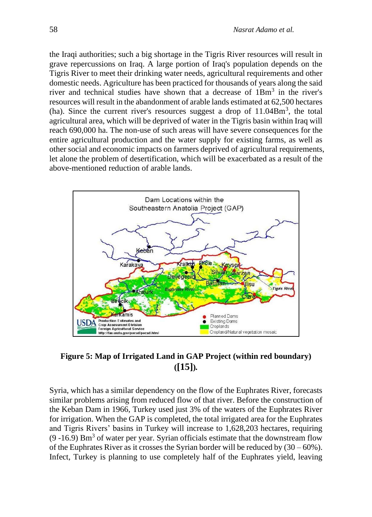the Iraqi authorities; such a big shortage in the Tigris River resources will result in grave repercussions on Iraq. A large portion of Iraq's population depends on the Tigris River to meet their drinking water needs, agricultural requirements and other domestic needs. Agriculture has been practiced for thousands of years along the said river and technical studies have shown that a decrease of  $1Bm<sup>3</sup>$  in the river's resources will result in the abandonment of arable lands estimated at 62,500 hectares (ha). Since the current river's resources suggest a drop of  $11.04 \text{Bm}^3$ , the total agricultural area, which will be deprived of water in the Tigris basin within Iraq will reach 690,000 ha. The non-use of such areas will have severe consequences for the entire agricultural production and the water supply for existing farms, as well as other social and economic impacts on farmers deprived of agricultural requirements, let alone the problem of desertification, which will be exacerbated as a result of the above-mentioned reduction of arable lands.



### **Figure 5: Map of Irrigated Land in GAP Project (within red boundary) ([15])***.*

Syria, which has a similar dependency on the flow of the Euphrates River, forecasts similar problems arising from reduced flow of that river. Before the construction of the Keban Dam in 1966, Turkey used just 3% of the waters of the Euphrates River for irrigation. When the GAP is completed, the total irrigated area for the Euphrates and Tigris Rivers' basins in Turkey will increase to 1,628,203 hectares, requiring  $(9 - 16.9)$  Bm<sup>3</sup> of water per year. Syrian officials estimate that the downstream flow of the Euphrates River as it crosses the Syrian border will be reduced by  $(30 - 60\%)$ . Infect, Turkey is planning to use completely half of the Euphrates yield, leaving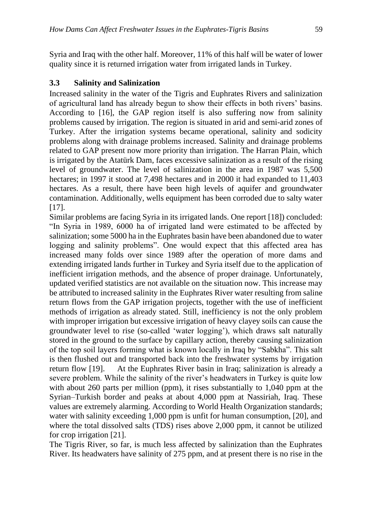Syria and Iraq with the other half. Moreover, 11% of this half will be water of lower quality since it is returned irrigation water from irrigated lands in Turkey.

#### **3.3 Salinity and Salinization**

Increased salinity in the water of the Tigris and Euphrates Rivers and salinization of agricultural land has already begun to show their effects in both rivers' basins. According to [16], the GAP region itself is also suffering now from salinity problems caused by irrigation. The region is situated in arid and semi-arid zones of Turkey. After the irrigation systems became operational, salinity and sodicity problems along with drainage problems increased. Salinity and drainage problems related to GAP present now more priority than irrigation. The Harran Plain, which is irrigated by the Atatürk Dam, faces excessive salinization as a result of the rising level of groundwater. The level of salinization in the area in 1987 was 5,500 hectares; in 1997 it stood at 7,498 hectares and in 2000 it had expanded to 11,403 hectares. As a result, there have been high levels of aquifer and groundwater contamination. Additionally, wells equipment has been corroded due to salty water [17].

Similar problems are facing Syria in its irrigated lands. One report [18]) concluded: "In Syria in 1989, 6000 ha of irrigated land were estimated to be affected by salinization; some 5000 ha in the Euphrates basin have been abandoned due to water logging and salinity problems". One would expect that this affected area has increased many folds over since 1989 after the operation of more dams and extending irrigated lands further in Turkey and Syria itself due to the application of inefficient irrigation methods, and the absence of proper drainage. Unfortunately, updated verified statistics are not available on the situation now. This increase may be attributed to increased salinity in the Euphrates River water resulting from saline return flows from the GAP irrigation projects, together with the use of inefficient methods of irrigation as already stated. Still, inefficiency is not the only problem with improper irrigation but excessive irrigation of heavy clayey soils can cause the groundwater level to rise (so-called 'water logging'), which draws salt naturally stored in the ground to the surface by capillary action, thereby causing salinization of the top soil layers forming what is known locally in Iraq by "Sabkha". This salt is then flushed out and transported back into the freshwater systems by irrigation return flow [19]. At the Euphrates River basin in Iraq; salinization is already a severe problem. While the salinity of the river's headwaters in Turkey is quite low with about 260 parts per million (ppm), it rises substantially to 1,040 ppm at the Syrian–Turkish border and peaks at about 4,000 ppm at Nassiriah, Iraq. These values are extremely alarming. According to World Health Organization standards; water with salinity exceeding 1,000 ppm is unfit for human consumption, [20], and where the total dissolved salts (TDS) rises above 2,000 ppm, it cannot be utilized for crop irrigation [21].

The Tigris River, so far, is much less affected by salinization than the Euphrates River. Its headwaters have salinity of 275 ppm, and at present there is no rise in the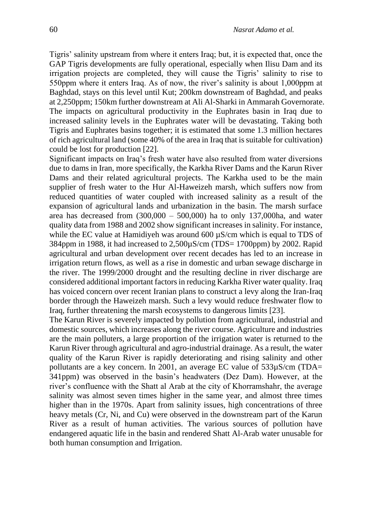Tigris' salinity upstream from where it enters Iraq; but, it is expected that, once the GAP Tigris developments are fully operational, especially when Ilisu Dam and its irrigation projects are completed, they will cause the Tigris' salinity to rise to 550ppm where it enters Iraq. As of now, the river's salinity is about 1,000ppm at Baghdad, stays on this level until Kut; 200km downstream of Baghdad, and peaks at 2,250ppm; 150km further downstream at Ali Al-Sharki in Ammarah Governorate. The impacts on agricultural productivity in the Euphrates basin in Iraq due to increased salinity levels in the Euphrates water will be devastating. Taking both Tigris and Euphrates basins together; it is estimated that some 1.3 million hectares of rich agricultural land (some 40% of the area in Iraq that is suitable for cultivation) could be lost for production [22].

Significant impacts on Iraq's fresh water have also resulted from water diversions due to dams in Iran, more specifically, the Karkha River Dams and the Karun River Dams and their related agricultural projects. The Karkha used to be the main supplier of fresh water to the Hur Al-Haweizeh marsh, which suffers now from reduced quantities of water coupled with increased salinity as a result of the expansion of agricultural lands and urbanization in the basin. The marsh surface area has decreased from  $(300,000 - 500,000)$  ha to only 137,000ha, and water quality data from 1988 and 2002 show significant increases in salinity. For instance, while the EC value at Hamidiyeh was around  $600 \mu S/cm$  which is equal to TDS of 384ppm in 1988, it had increased to 2,500µS/cm (TDS= 1700ppm) by 2002. Rapid agricultural and urban development over recent decades has led to an increase in irrigation return flows, as well as a rise in domestic and urban sewage discharge in the river. The 1999/2000 drought and the resulting decline in river discharge are considered additional important factors in reducing Karkha River water quality. Iraq has voiced concern over recent Iranian plans to construct a levy along the Iran-Iraq border through the Haweizeh marsh. Such a levy would reduce freshwater flow to Iraq, further threatening the marsh ecosystems to dangerous limits [23].

The Karun River is severely impacted by pollution from agricultural, industrial and domestic sources, which increases along the river course. Agriculture and industries are the main polluters, a large proportion of the irrigation water is returned to the Karun River through agricultural and agro-industrial drainage. As a result, the water quality of the Karun River is rapidly deteriorating and rising salinity and other pollutants are a key concern. In 2001, an average EC value of 533µS/cm (TDA= 341ppm) was observed in the basin's headwaters (Dez Dam). However, at the river's confluence with the Shatt al Arab at the city of Khorramshahr, the average salinity was almost seven times higher in the same year, and almost three times higher than in the 1970s. Apart from salinity issues, high concentrations of three heavy metals (Cr, Ni, and Cu) were observed in the downstream part of the Karun River as a result of human activities. The various sources of pollution have endangered aquatic life in the basin and rendered Shatt Al-Arab water unusable for both human consumption and Irrigation.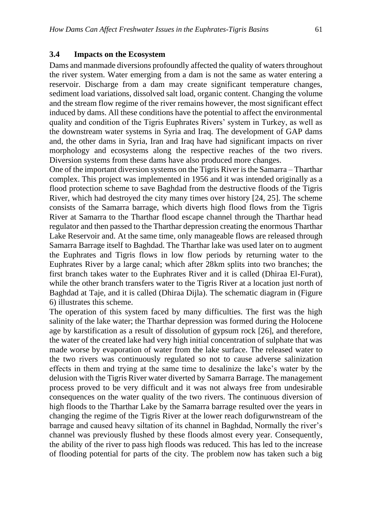#### **3.4 Impacts on the Ecosystem**

Dams and manmade diversions profoundly affected the quality of waters throughout the river system. Water emerging from a dam is not the same as water entering a reservoir. Discharge from a dam may create significant temperature changes, sediment load variations, dissolved salt load, organic content. Changing the volume and the stream flow regime of the river remains however, the most significant effect induced by dams. All these conditions have the potential to affect the environmental quality and condition of the Tigris Euphrates Rivers' system in Turkey, as well as the downstream water systems in Syria and Iraq. The development of GAP dams and, the other dams in Syria, Iran and Iraq have had significant impacts on river morphology and ecosystems along the respective reaches of the two rivers. Diversion systems from these dams have also produced more changes.

One of the important diversion systems on the Tigris River is the Samarra – Tharthar complex. This project was implemented in 1956 and it was intended originally as a flood protection scheme to save Baghdad from the destructive floods of the Tigris River, which had destroyed the city many times over history [24, 25]. The scheme consists of the Samarra barrage, which diverts high flood flows from the Tigris River at Samarra to the Tharthar flood escape channel through the Tharthar head regulator and then passed to the Tharthar depression creating the enormous Tharthar Lake Reservoir and. At the same time, only manageable flows are released through Samarra Barrage itself to Baghdad. The Tharthar lake was used later on to augment the Euphrates and Tigris flows in low flow periods by returning water to the Euphrates River by a large canal; which after 28km splits into two branches; the first branch takes water to the Euphrates River and it is called (Dhiraa El-Furat), while the other branch transfers water to the Tigris River at a location just north of Baghdad at Taje, and it is called (Dhiraa Dijla). The schematic diagram in (Figure 6) illustrates this scheme.

The operation of this system faced by many difficulties. The first was the high salinity of the lake water; the Tharthar depression was formed during the Holocene age by karstification as a result of dissolution of gypsum rock [26], and therefore, the water of the created lake had very high initial concentration of sulphate that was made worse by evaporation of water from the lake surface. The released water to the two rivers was continuously regulated so not to cause adverse salinization effects in them and trying at the same time to desalinize the lake's water by the delusion with the Tigris River water diverted by Samarra Barrage. The management process proved to be very difficult and it was not always free from undesirable consequences on the water quality of the two rivers. The continuous diversion of high floods to the Tharthar Lake by the Samarra barrage resulted over the years in changing the regime of the Tigris River at the lower reach dofigurwnstream of the barrage and caused heavy siltation of its channel in Baghdad, Normally the river's channel was previously flushed by these floods almost every year. Consequently, the ability of the river to pass high floods was reduced. This has led to the increase of flooding potential for parts of the city. The problem now has taken such a big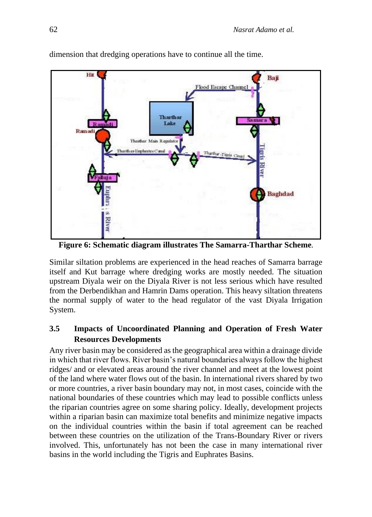

dimension that dredging operations have to continue all the time.

**Figure 6: Schematic diagram illustrates The Samarra-Tharthar Scheme***.*

Similar siltation problems are experienced in the head reaches of Samarra barrage itself and Kut barrage where dredging works are mostly needed. The situation upstream Diyala weir on the Diyala River is not less serious which have resulted from the Derbendikhan and Hamrin Dams operation. This heavy siltation threatens the normal supply of water to the head regulator of the vast Diyala Irrigation System.

# **3.5 Impacts of Uncoordinated Planning and Operation of Fresh Water Resources Developments**

Any river basin may be considered as the geographical area within a drainage divide in which that river flows. River basin's natural boundaries always follow the highest ridges/ and or elevated areas around the river channel and meet at the lowest point of the land where water flows out of the basin. In international rivers shared by two or more countries, a river basin boundary may not, in most cases, coincide with the national boundaries of these countries which may lead to possible conflicts unless the riparian countries agree on some sharing policy. Ideally, development projects within a riparian basin can maximize total benefits and minimize negative impacts on the individual countries within the basin if total agreement can be reached between these countries on the utilization of the Trans-Boundary River or rivers involved. This, unfortunately has not been the case in many international river basins in the world including the Tigris and Euphrates Basins.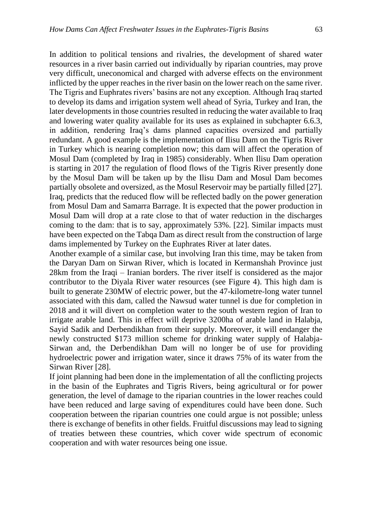In addition to political tensions and rivalries, the development of shared water resources in a river basin carried out individually by riparian countries, may prove very difficult, uneconomical and charged with adverse effects on the environment inflicted by the upper reaches in the river basin on the lower reach on the same river. The Tigris and Euphrates rivers' basins are not any exception. Although Iraq started to develop its dams and irrigation system well ahead of Syria, Turkey and Iran, the later developments in those countries resulted in reducing the water available to Iraq and lowering water quality available for its uses as explained in subchapter 6.6.3, in addition, rendering Iraq's dams planned capacities oversized and partially redundant. A good example is the implementation of Ilisu Dam on the Tigris River in Turkey which is nearing completion now; this dam will affect the operation of Mosul Dam (completed by Iraq in 1985) considerably. When Ilisu Dam operation is starting in 2017 the regulation of flood flows of the Tigris River presently done by the Mosul Dam will be taken up by the Ilisu Dam and Mosul Dam becomes partially obsolete and oversized, as the Mosul Reservoir may be partially filled [27]. Iraq, predicts that the reduced flow will be reflected badly on the power generation from Mosul Dam and Samarra Barrage. It is expected that the power production in Mosul Dam will drop at a rate close to that of water reduction in the discharges coming to the dam: that is to say, approximately 53%. [22]. Similar impacts must have been expected on the Tabqa Dam as direct result from the construction of large dams implemented by Turkey on the Euphrates River at later dates.

Another example of a similar case, but involving Iran this time, may be taken from the Daryan Dam on Sirwan River, which is located in Kermanshah Province just 28km from the Iraqi – Iranian borders. The river itself is considered as the major contributor to the Diyala River water resources (see Figure 4). This high dam is built to generate 230MW of electric power, but the 47-kilometre-long water tunnel associated with this dam, called the Nawsud water tunnel is due for completion in 2018 and it will divert on completion water to the south western region of Iran to irrigate arable land. This in effect will deprive 3200ha of arable land in Halabja, Sayid Sadik and Derbendikhan from their supply. Moreover, it will endanger the newly constructed \$173 million scheme for drinking water supply of Halabja-Sirwan and, the Derbendikhan Dam will no longer be of use for providing hydroelectric power and irrigation water, since it draws 75% of its water from the Sirwan River [28].

If joint planning had been done in the implementation of all the conflicting projects in the basin of the Euphrates and Tigris Rivers, being agricultural or for power generation, the level of damage to the riparian countries in the lower reaches could have been reduced and large saving of expenditures could have been done. Such cooperation between the riparian countries one could argue is not possible; unless there is exchange of benefits in other fields. Fruitful discussions may lead to signing of treaties between these countries, which cover wide spectrum of economic cooperation and with water resources being one issue.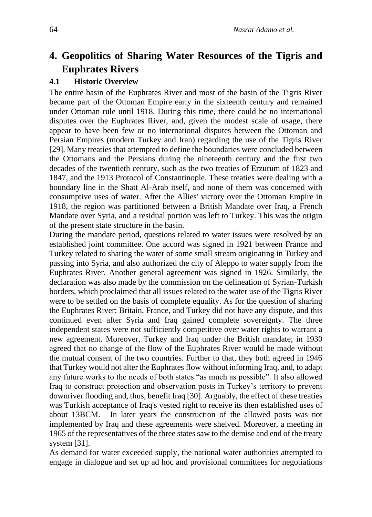# **4. Geopolitics of Sharing Water Resources of the Tigris and Euphrates Rivers**

#### **4.1 Historic Overview**

The entire basin of the Euphrates River and most of the basin of the Tigris River became part of the Ottoman Empire early in the sixteenth century and remained under Ottoman rule until 1918. During this time, there could be no international disputes over the Euphrates River, and, given the modest scale of usage, there appear to have been few or no international disputes between the Ottoman and Persian Empires (modern Turkey and Iran) regarding the use of the Tigris River [29]. Many treaties that attempted to define the boundaries were concluded between the Ottomans and the Persians during the nineteenth century and the first two decades of the twentieth century, such as the two treaties of Erzurum of 1823 and 1847, and the 1913 Protocol of Constantinople. These treaties were dealing with a boundary line in the Shatt Al-Arab itself, and none of them was concerned with consumptive uses of water. After the Allies' victory over the Ottoman Empire in 1918, the region was partitioned between a British Mandate over Iraq, a French Mandate over Syria, and a residual portion was left to Turkey. This was the origin of the present state structure in the basin.

During the mandate period, questions related to water issues were resolved by an established joint committee. One accord was signed in 1921 between France and Turkey related to sharing the water of some small stream originating in Turkey and passing into Syria, and also authorized the city of Aleppo to water supply from the Euphrates River. Another general agreement was signed in 1926. Similarly, the declaration was also made by the commission on the delineation of Syrian-Turkish borders, which proclaimed that all issues related to the water use of the Tigris River were to be settled on the basis of complete equality. As for the question of sharing the Euphrates River; Britain, France, and Turkey did not have any dispute, and this continued even after Syria and Iraq gained complete sovereignty. The three independent states were not sufficiently competitive over water rights to warrant a new agreement. Moreover, Turkey and Iraq under the British mandate; in 1930 agreed that no change of the flow of the Euphrates River would be made without the mutual consent of the two countries. Further to that, they both agreed in 1946 that Turkey would not alter the Euphrates flow without informing Iraq, and, to adapt any future works to the needs of both states "as much as possible". It also allowed Iraq to construct protection and observation posts in Turkey's territory to prevent downriver flooding and, thus, benefit Iraq [30]. Arguably, the effect of these treaties was Turkish acceptance of Iraq's vested right to receive its then established uses of about 13BCM. In later years the construction of the allowed posts was not implemented by Iraq and these agreements were shelved. Moreover, a meeting in 1965 of the representatives of the three states saw to the demise and end of the treaty system [31].

As demand for water exceeded supply, the national water authorities attempted to engage in dialogue and set up ad hoc and provisional committees for negotiations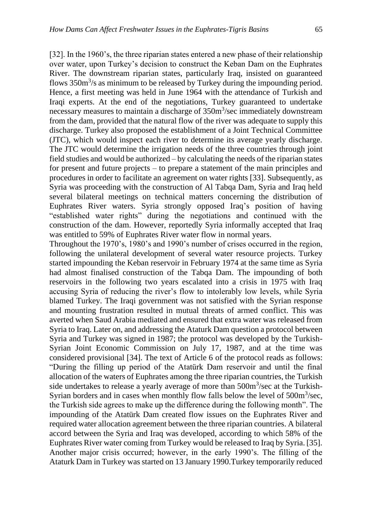[32]. In the 1960's, the three riparian states entered a new phase of their relationship over water, upon Turkey's decision to construct the Keban Dam on the Euphrates River. The downstream riparian states, particularly Iraq, insisted on guaranteed flows  $350m<sup>3</sup>/s$  as minimum to be released by Turkey during the impounding period. Hence, a first meeting was held in June 1964 with the attendance of Turkish and Iraqi experts. At the end of the negotiations, Turkey guaranteed to undertake necessary measures to maintain a discharge of  $350m<sup>3</sup>/sec$  immediately downstream from the dam, provided that the natural flow of the river was adequate to supply this discharge. Turkey also proposed the establishment of a Joint Technical Committee (JTC), which would inspect each river to determine its average yearly discharge. The JTC would determine the irrigation needs of the three countries through joint field studies and would be authorized – by calculating the needs of the riparian states for present and future projects – to prepare a statement of the main principles and procedures in order to facilitate an agreement on water rights [33]. Subsequently, as Syria was proceeding with the construction of Al Tabqa Dam, Syria and Iraq held several bilateral meetings on technical matters concerning the distribution of Euphrates River waters. Syria strongly opposed Iraq's position of having "established water rights" during the negotiations and continued with the construction of the dam. However, reportedly Syria informally accepted that Iraq was entitled to 59% of Euphrates River water flow in normal years.

Throughout the 1970's, 1980's and 1990's number of crises occurred in the region, following the unilateral development of several water resource projects. Turkey started impounding the Keban reservoir in February 1974 at the same time as Syria had almost finalised construction of the Tabqa Dam. The impounding of both reservoirs in the following two years escalated into a crisis in 1975 with Iraq accusing Syria of reducing the river's flow to intolerably low levels, while Syria blamed Turkey. The Iraqi government was not satisfied with the Syrian response and mounting frustration resulted in mutual threats of armed conflict. This was averted when Saud Arabia mediated and ensured that extra water was released from Syria to Iraq. Later on, and addressing the Ataturk Dam question a protocol between Syria and Turkey was signed in 1987; the protocol was developed by the Turkish-Syrian Joint Economic Commission on July 17, 1987, and at the time was considered provisional [34]. The text of Article 6 of the protocol reads as follows: "During the filling up period of the Atatürk Dam reservoir and until the final allocation of the waters of Euphrates among the three riparian countries, the Turkish side undertakes to release a yearly average of more than  $500m<sup>3</sup>/sec$  at the Turkish-Syrian borders and in cases when monthly flow falls below the level of  $500m<sup>3</sup>/sec$ , the Turkish side agrees to make up the difference during the following month". The impounding of the Atatürk Dam created flow issues on the Euphrates River and required water allocation agreement between the three riparian countries. A bilateral accord between the Syria and Iraq was developed, according to which 58% of the Euphrates River water coming from Turkey would be released to Iraq by Syria. [35]. Another major crisis occurred; however, in the early 1990's. The filling of the Ataturk Dam in Turkey was started on 13 January 1990.Turkey temporarily reduced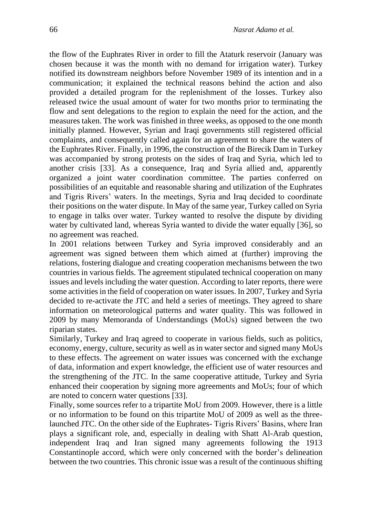the flow of the Euphrates River in order to fill the Ataturk reservoir (January was chosen because it was the month with no demand for irrigation water). Turkey notified its downstream neighbors before November 1989 of its intention and in a communication; it explained the technical reasons behind the action and also provided a detailed program for the replenishment of the losses. Turkey also released twice the usual amount of water for two months prior to terminating the flow and sent delegations to the region to explain the need for the action, and the measures taken. The work was finished in three weeks, as opposed to the one month initially planned. However, Syrian and Iraqi governments still registered official complaints, and consequently called again for an agreement to share the waters of the Euphrates River. Finally, in 1996, the construction of the Birecik Dam in Turkey was accompanied by strong protests on the sides of Iraq and Syria, which led to another crisis [33]. As a consequence, Iraq and Syria allied and, apparently organized a joint water coordination committee. The parties conferred on possibilities of an equitable and reasonable sharing and utilization of the Euphrates and Tigris Rivers' waters. In the meetings, Syria and Iraq decided to coordinate their positions on the water dispute. In May of the same year, Turkey called on Syria to engage in talks over water. Turkey wanted to resolve the dispute by dividing water by cultivated land, whereas Syria wanted to divide the water equally [36], so no agreement was reached.

In 2001 relations between Turkey and Syria improved considerably and an agreement was signed between them which aimed at (further) improving the relations, fostering dialogue and creating cooperation mechanisms between the two countries in various fields. The agreement stipulated technical cooperation on many issues and levels including the water question. According to later reports, there were some activities in the field of cooperation on water issues. In 2007, Turkey and Syria decided to re-activate the JTC and held a series of meetings. They agreed to share information on meteorological patterns and water quality. This was followed in 2009 by many Memoranda of Understandings (MoUs) signed between the two riparian states.

Similarly, Turkey and Iraq agreed to cooperate in various fields, such as politics, economy, energy, culture, security as well as in water sector and signed many MoUs to these effects. The agreement on water issues was concerned with the exchange of data, information and expert knowledge, the efficient use of water resources and the strengthening of the JTC. In the same cooperative attitude, Turkey and Syria enhanced their cooperation by signing more agreements and MoUs; four of which are noted to concern water questions [33].

Finally, some sources refer to a tripartite MoU from 2009. However, there is a little or no information to be found on this tripartite MoU of 2009 as well as the threelaunched JTC. On the other side of the Euphrates- Tigris Rivers' Basins, where Iran plays a significant role, and, especially in dealing with Shatt Al-Arab question, independent Iraq and Iran signed many agreements following the 1913 Constantinople accord, which were only concerned with the border's delineation between the two countries. This chronic issue was a result of the continuous shifting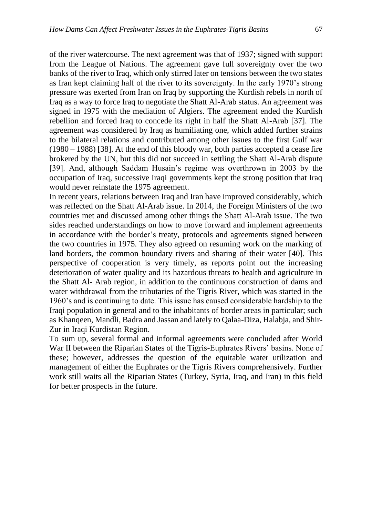of the river watercourse. The next agreement was that of 1937; signed with support from the League of Nations. The agreement gave full sovereignty over the two banks of the river to Iraq, which only stirred later on tensions between the two states as Iran kept claiming half of the river to its sovereignty. In the early 1970's strong pressure was exerted from Iran on Iraq by supporting the Kurdish rebels in north of Iraq as a way to force Iraq to negotiate the Shatt Al-Arab status. An agreement was signed in 1975 with the mediation of Algiers. The agreement ended the Kurdish rebellion and forced Iraq to concede its right in half the Shatt Al-Arab [37]. The agreement was considered by Iraq as humiliating one, which added further strains to the bilateral relations and contributed among other issues to the first Gulf war (1980 – 1988) [38]. At the end of this bloody war, both parties accepted a cease fire brokered by the UN, but this did not succeed in settling the Shatt Al-Arab dispute [39]. And, although Saddam Husain's regime was overthrown in 2003 by the occupation of Iraq, successive Iraqi governments kept the strong position that Iraq would never reinstate the 1975 agreement.

In recent years, relations between Iraq and Iran have improved considerably, which was reflected on the Shatt Al-Arab issue. In 2014, the Foreign Ministers of the two countries met and discussed among other things the Shatt Al-Arab issue. The two sides reached understandings on how to move forward and implement agreements in accordance with the border's treaty, protocols and agreements signed between the two countries in 1975. They also agreed on resuming work on the marking of land borders, the common boundary rivers and sharing of their water [40]. This perspective of cooperation is very timely, as reports point out the increasing deterioration of water quality and its hazardous threats to health and agriculture in the Shatt Al- Arab region, in addition to the continuous construction of dams and water withdrawal from the tributaries of the Tigris River, which was started in the 1960's and is continuing to date. This issue has caused considerable hardship to the Iraqi population in general and to the inhabitants of border areas in particular; such as Khanqeen, Mandli, Badra and Jassan and lately to Qalaa-Diza, Halabja, and Shir-Zur in Iraqi Kurdistan Region.

To sum up, several formal and informal agreements were concluded after World War II between the Riparian States of the Tigris-Euphrates Rivers' basins. None of these; however, addresses the question of the equitable water utilization and management of either the Euphrates or the Tigris Rivers comprehensively. Further work still waits all the Riparian States (Turkey, Syria, Iraq, and Iran) in this field for better prospects in the future.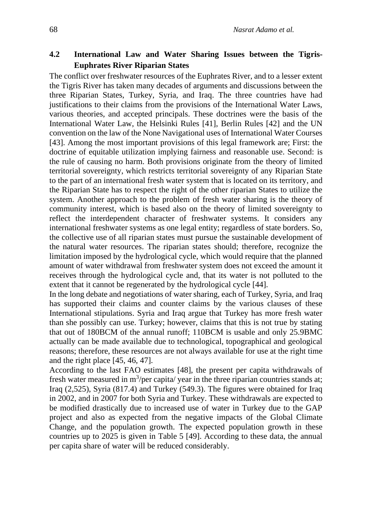## **4.2 International Law and Water Sharing Issues between the Tigris-Euphrates River Riparian States**

The conflict over freshwater resources of the Euphrates River, and to a lesser extent the Tigris River has taken many decades of arguments and discussions between the three Riparian States, Turkey, Syria, and Iraq. The three countries have had justifications to their claims from the provisions of the International Water Laws, various theories, and accepted principals. These doctrines were the basis of the International Water Law, the Helsinki Rules [41], Berlin Rules [42] and the UN convention on the law of the None Navigational uses of International Water Courses [43]. Among the most important provisions of this legal framework are; First: the doctrine of equitable utilization implying fairness and reasonable use. Second: is the rule of causing no harm. Both provisions originate from the theory of limited territorial sovereignty, which restricts territorial sovereignty of any Riparian State to the part of an international fresh water system that is located on its territory, and the Riparian State has to respect the right of the other riparian States to utilize the system. Another approach to the problem of fresh water sharing is the theory of community interest, which is based also on the theory of limited sovereignty to reflect the interdependent character of freshwater systems. It considers any international freshwater systems as one legal entity; regardless of state borders. So, the collective use of all riparian states must pursue the sustainable development of the natural water resources. The riparian states should; therefore, recognize the limitation imposed by the hydrological cycle, which would require that the planned amount of water withdrawal from freshwater system does not exceed the amount it receives through the hydrological cycle and, that its water is not polluted to the extent that it cannot be regenerated by the hydrological cycle [44].

In the long debate and negotiations of water sharing, each of Turkey, Syria, and Iraq has supported their claims and counter claims by the various clauses of these International stipulations. Syria and Iraq argue that Turkey has more fresh water than she possibly can use. Turkey; however, claims that this is not true by stating that out of 180BCM of the annual runoff; 110BCM is usable and only 25.9BMC actually can be made available due to technological, topographical and geological reasons; therefore, these resources are not always available for use at the right time and the right place [45, 46, 47].

According to the last FAO estimates [48], the present per capita withdrawals of fresh water measured in  $m^3$ /per capita/ year in the three riparian countries stands at; Iraq (2,525), Syria (817.4) and Turkey (549.3). The figures were obtained for Iraq in 2002, and in 2007 for both Syria and Turkey. These withdrawals are expected to be modified drastically due to increased use of water in Turkey due to the GAP project and also as expected from the negative impacts of the Global Climate Change, and the population growth. The expected population growth in these countries up to 2025 is given in Table 5 [49]. According to these data, the annual per capita share of water will be reduced considerably.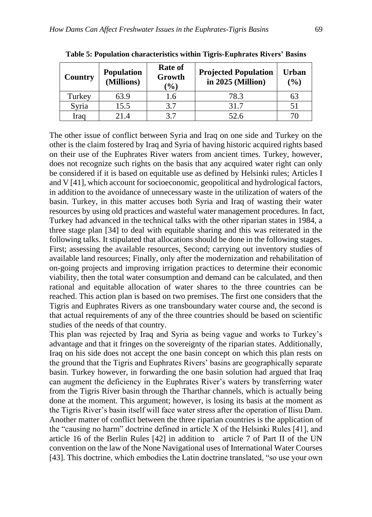| Country | <b>Population</b><br>(Millions) | <b>Rate of</b><br>Growth<br>$(\%)$ | <b>Projected Population</b><br>in $2025$ (Million) | <b>Urban</b><br>$(\%)$ |
|---------|---------------------------------|------------------------------------|----------------------------------------------------|------------------------|
| Turkey  | 63.9                            | 1.6                                | 78.3                                               | 63                     |
| Syria   | 15.5                            | 3.7                                | 31.7                                               |                        |
| Iraq    | 21.4                            | 3.7                                | 52.6                                               |                        |

**Table 5: Population characteristics within Tigris-Euphrates Rivers' Basins**

The other issue of conflict between Syria and Iraq on one side and Turkey on the other is the claim fostered by Iraq and Syria of having historic acquired rights based on their use of the Euphrates River waters from ancient times. Turkey, however, does not recognize such rights on the basis that any acquired water right can only be considered if it is based on equitable use as defined by Helsinki rules; Articles I and V [41], which account for socioeconomic, geopolitical and hydrological factors, in addition to the avoidance of unnecessary waste in the utilization of waters of the basin. Turkey, in this matter accuses both Syria and Iraq of wasting their water resources by using old practices and wasteful water management procedures. In fact, Turkey had advanced in the technical talks with the other riparian states in 1984, a three stage plan [34] to deal with equitable sharing and this was reiterated in the following talks. It stipulated that allocations should be done in the following stages. First; assessing the available resources, Second; carrying out inventory studies of available land resources; Finally, only after the modernization and rehabilitation of on-going projects and improving irrigation practices to determine their economic viability, then the total water consumption and demand can be calculated, and then rational and equitable allocation of water shares to the three countries can be reached. This action plan is based on two premises. The first one considers that the Tigris and Euphrates Rivers as one transboundary water course and, the second is that actual requirements of any of the three countries should be based on scientific studies of the needs of that country.

This plan was rejected by Iraq and Syria as being vague and works to Turkey's advantage and that it fringes on the sovereignty of the riparian states. Additionally, Iraq on his side does not accept the one basin concept on which this plan rests on the ground that the Tigris and Euphrates Rivers' basins are geographically separate basin. Turkey however, in forwarding the one basin solution had argued that Iraq can augment the deficiency in the Euphrates River's waters by transferring water from the Tigris River basin through the Tharthar channels, which is actually being done at the moment. This argument; however, is losing its basis at the moment as the Tigris River's basin itself will face water stress after the operation of Ilisu Dam. Another matter of conflict between the three riparian countries is the application of the "causing no harm" doctrine defined in article X of the Helsinki Rules [41], and article 16 of the Berlin Rules [42] in addition to article 7 of Part II of the UN convention on the law of the None Navigational uses of International Water Courses [43]. This doctrine, which embodies the Latin doctrine translated, "so use your own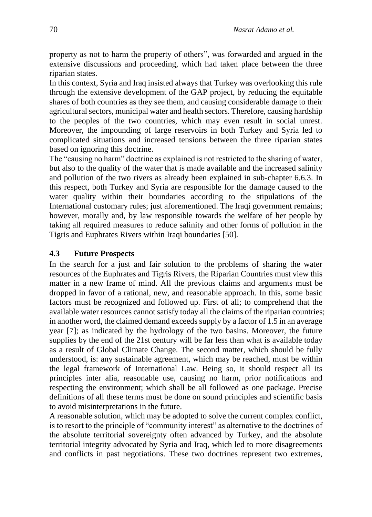property as not to harm the property of others", was forwarded and argued in the extensive discussions and proceeding, which had taken place between the three riparian states.

In this context, Syria and Iraq insisted always that Turkey was overlooking this rule through the extensive development of the GAP project, by reducing the equitable shares of both countries as they see them, and causing considerable damage to their agricultural sectors, municipal water and health sectors. Therefore, causing hardship to the peoples of the two countries, which may even result in social unrest. Moreover, the impounding of large reservoirs in both Turkey and Syria led to complicated situations and increased tensions between the three riparian states based on ignoring this doctrine.

The "causing no harm" doctrine as explained is not restricted to the sharing of water, but also to the quality of the water that is made available and the increased salinity and pollution of the two rivers as already been explained in sub-chapter 6.6.3. In this respect, both Turkey and Syria are responsible for the damage caused to the water quality within their boundaries according to the stipulations of the International customary rules; just aforementioned. The Iraqi government remains; however, morally and, by law responsible towards the welfare of her people by taking all required measures to reduce salinity and other forms of pollution in the Tigris and Euphrates Rivers within Iraqi boundaries [50].

#### **4.3 Future Prospects**

In the search for a just and fair solution to the problems of sharing the water resources of the Euphrates and Tigris Rivers, the Riparian Countries must view this matter in a new frame of mind. All the previous claims and arguments must be dropped in favor of a rational, new, and reasonable approach. In this, some basic factors must be recognized and followed up. First of all; to comprehend that the available water resources cannot satisfy today all the claims of the riparian countries; in another word, the claimed demand exceeds supply by a factor of 1.5 in an average year [7]; as indicated by the hydrology of the two basins. Moreover, the future supplies by the end of the 21st century will be far less than what is available today as a result of Global Climate Change. The second matter, which should be fully understood, is: any sustainable agreement, which may be reached, must be within the legal framework of International Law. Being so, it should respect all its principles inter alia, reasonable use, causing no harm, prior notifications and respecting the environment; which shall be all followed as one package. Precise definitions of all these terms must be done on sound principles and scientific basis to avoid misinterpretations in the future.

A reasonable solution, which may be adopted to solve the current complex conflict, is to resort to the principle of "community interest" as alternative to the doctrines of the absolute territorial sovereignty often advanced by Turkey, and the absolute territorial integrity advocated by Syria and Iraq, which led to more disagreements and conflicts in past negotiations. These two doctrines represent two extremes,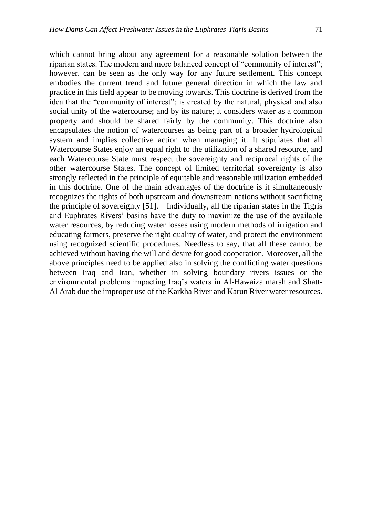which cannot bring about any agreement for a reasonable solution between the riparian states. The modern and more balanced concept of "community of interest"; however, can be seen as the only way for any future settlement. This concept embodies the current trend and future general direction in which the law and practice in this field appear to be moving towards. This doctrine is derived from the idea that the "community of interest"; is created by the natural, physical and also social unity of the watercourse; and by its nature; it considers water as a common property and should be shared fairly by the community. This doctrine also encapsulates the notion of watercourses as being part of a broader hydrological system and implies collective action when managing it. It stipulates that all Watercourse States enjoy an equal right to the utilization of a shared resource, and each Watercourse State must respect the sovereignty and reciprocal rights of the other watercourse States. The concept of limited territorial sovereignty is also strongly reflected in the principle of equitable and reasonable utilization embedded in this doctrine. One of the main advantages of the doctrine is it simultaneously recognizes the rights of both upstream and downstream nations without sacrificing the principle of sovereignty [51]. Individually, all the riparian states in the Tigris and Euphrates Rivers' basins have the duty to maximize the use of the available water resources, by reducing water losses using modern methods of irrigation and educating farmers, preserve the right quality of water, and protect the environment using recognized scientific procedures. Needless to say, that all these cannot be achieved without having the will and desire for good cooperation. Moreover, all the above principles need to be applied also in solving the conflicting water questions between Iraq and Iran, whether in solving boundary rivers issues or the environmental problems impacting Iraq's waters in Al-Hawaiza marsh and Shatt-Al Arab due the improper use of the Karkha River and Karun River water resources.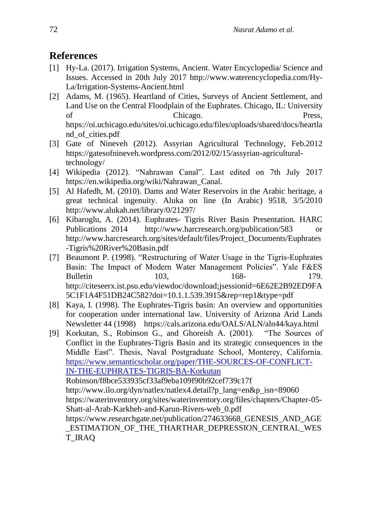# **References**

- [1] Hy-La. (2017). Irrigation Systems, Ancient. Water Encyclopedia/ Science and Issues. Accessed in 20th July 2017 http://www.waterencyclopedia.com/Hy-La/Irrigation-Systems-Ancient.html
- [2] Adams, M. (1965). Heartland of Cities, Surveys of Ancient Settlement, and Land Use on the Central Floodplain of the Euphrates. Chicago, IL: University of Chicago. Press, https://oi.uchicago.edu/sites/oi.uchicago.edu/files/uploads/shared/docs/heartla nd\_of\_cities.pdf
- [3] Gate of Nineveh (2012). Assyrian Agricultural Technology, Feb.2012 https://gatesofnineveh.wordpress.com/2012/02/15/assyrian-agriculturaltechnology/
- [4] Wikipedia (2012). "Nahrawan Canal". Last edited on 7th July 2017 https://en.wikipedia.org/wiki/Nahrawan\_Canal.
- [5] Al Hafedh, M. (2010). Dams and Water Reservoirs in the Arabic heritage, a great technical ingenuity. Aluka on line (In Arabic) 9518, 3/5/2010 http://www.alukah.net/library/0/21297/
- [6] Kibaroglu, A. (2014). Euphrates- Tigris River Basin Presentation. HARC Publications 2014 http://www.harcresearch.org/publication/583 http://www.harcresearch.org/sites/default/files/Project\_Documents/Euphrates -Tigris%20River%20Basin.pdf
- [7] Beaumont P. (1998). "Restructuring of Water Usage in the Tigris-Euphrates Basin: The Impact of Modern Water Management Policies". Yale F&ES Bulletin 103, 168- 179. http://citeseerx.ist.psu.edu/viewdoc/download;jsessionid=6E62E2B92ED9FA 5C1F1A4F51DB24C582?doi=10.1.1.539.3915&rep=rep1&type=pdf
- [8] Kaya, I. (1998). The Euphrates-Tigris basin: An overview and opportunities for cooperation under international law. University of Arizona Arid Lands Newsletter 44 (1998) https://cals.arizona.edu/OALS/ALN/aln44/kaya.html
- [9] Korkutan, S., Robinson G., and Ghoreish A. (2001). "The Sources of Conflict in the Euphrates-Tigris Basin and its strategic consequences in the Middle East". Thesis, Naval Postgraduate School, Monterey, California. [https://www.semanticscholar.org/paper/THE-SOURCES-OF-CONFLICT-](https://www.semanticscholar.org/paper/THE-SOURCES-OF-CONFLICT-IN-THE-EUPHRATES-TIGRIS-BA-Korkutan)[IN-THE-EUPHRATES-TIGRIS-BA-Korkutan](https://www.semanticscholar.org/paper/THE-SOURCES-OF-CONFLICT-IN-THE-EUPHRATES-TIGRIS-BA-Korkutan) Robinson/f8bce533935cf33af9eba109f90b92cef739c17f http://www.ilo.org/dyn/natlex/natlex4.detail?p\_lang=en&p\_isn=89060 https://waterinventory.org/sites/waterinventory.org/files/chapters/Chapter-05- Shatt-al-Arab-Karkheh-and-Karun-Rivers-web\_0.pdf https://www.researchgate.net/publication/274633668\_GENESIS\_AND\_AGE \_ESTIMATION\_OF\_THE\_THARTHAR\_DEPRESSION\_CENTRAL\_WES T\_IRAQ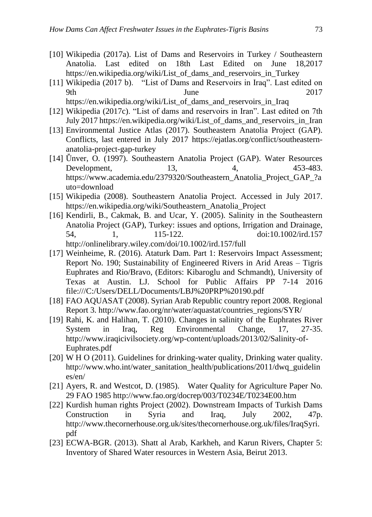- [10] Wikipedia (2017a). List of Dams and Reservoirs in Turkey / Southeastern Anatolia. Last edited on 18th Last Edited on June 18,2017 https://en.wikipedia.org/wiki/List\_of\_dams\_and\_reservoirs\_in\_Turkey
- [11] Wikipedia (2017 b). "List of Dams and Reservoirs in Iraq". Last edited on 9th June 2017 https://en.wikipedia.org/wiki/List\_of\_dams\_and\_reservoirs\_in\_Iraq
- [12] Wikipedia (2017c). "List of dams and reservoirs in Iran". Last edited on 7th July 2017 https://en.wikipedia.org/wiki/List\_of\_dams\_and\_reservoirs\_in\_Iran
- [13] Environmental Justice Atlas (2017). Southeastern Anatolia Project (GAP). Conflicts, last entered in July 2017 https://ejatlas.org/conflict/southeasternanatolia-project-gap-turkey
- [14] Ünver, O. (1997). Southeastern Anatolia Project (GAP). Water Resources Development, 13, 4, 453-483. https://www.academia.edu/2379320/Southeastern\_Anatolia\_Project\_GAP\_?a uto=download
- [15] Wikipedia (2008). Southeastern Anatolia Project. Accessed in July 2017. https://en.wikipedia.org/wiki/Southeastern\_Anatolia\_Project
- [16] Kendirli, B., Cakmak, B. and Ucar, Y. (2005). Salinity in the Southeastern Anatolia Project (GAP), Turkey: issues and options, Irrigation and Drainage, 54, 1, 115-122. doi:10.1002/ird.157 http://onlinelibrary.wiley.com/doi/10.1002/ird.157/full
- [17] Weinheime, R. (2016). Ataturk Dam. Part 1: Reservoirs Impact Assessment; Report No. 190; Sustainability of Engineered Rivers in Arid Areas – Tigris Euphrates and Rio/Bravo, (Editors: Kibaroglu and Schmandt), University of Texas at Austin. LJ. School for Public Affairs PP 7-14 2016 file:///C:/Users/DELL/Documents/LBJ%20PRP%20190.pdf
- [18] FAO AQUASAT (2008). Syrian Arab Republic country report 2008. Regional Report 3. http://www.fao.org/nr/water/aquastat/countries\_regions/SYR/
- [19] Rahi, K. and Halihan, T. (2010). Changes in salinity of the Euphrates River System in Iraq, Reg Environmental Change, 17, 27-35. http://www.iraqicivilsociety.org/wp-content/uploads/2013/02/Salinity-of-Euphrates.pdf
- [20] W H O (2011). Guidelines for drinking-water quality, Drinking water quality. http://www.who.int/water\_sanitation\_health/publications/2011/dwq\_guidelin es/en/
- [21] Ayers, R. and Westcot, D. (1985). Water Quality for Agriculture Paper No. 29 FAO 1985 http://www.fao.org/docrep/003/T0234E/T0234E00.htm
- [22] Kurdish human rights Project (2002). Downstream Impacts of Turkish Dams Construction in Syria and Iraq, July 2002, 47p. http://www.thecornerhouse.org.uk/sites/thecornerhouse.org.uk/files/IraqSyri. pdf
- [23] ECWA-BGR. (2013). Shatt al Arab, Karkheh, and Karun Rivers, Chapter 5: Inventory of Shared Water resources in Western Asia, Beirut 2013.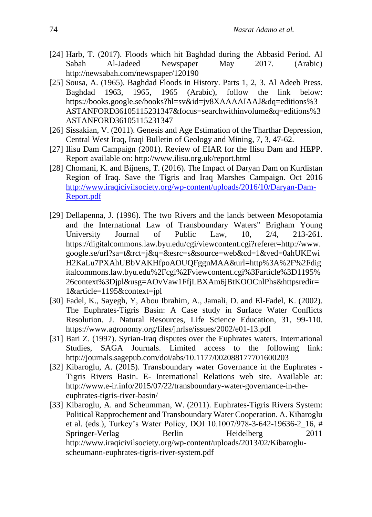- [24] Harb, T. (2017). Floods which hit Baghdad during the Abbasid Period. Al Sabah Al-Jadeed Newspaper May 2017. (Arabic) http://newsabah.com/newspaper/120190
- [25] Sousa, A. (1965). Baghdad Floods in History. Parts 1, 2, 3. Al Adeeb Press. Baghdad 1963, 1965, 1965 (Arabic), follow the link below: https://books.google.se/books?hl=sv&id=jv8XAAAAIAAJ&dq=editions%3 ASTANFORD36105115231347&focus=searchwithinvolume&q=editions%3 ASTANFORD36105115231347
- [26] Sissakian, V. (2011). Genesis and Age Estimation of the Tharthar Depression, Central West Iraq, Iraqi Bulletin of Geology and Mining, 7, 3, 47-62.
- [27] Ilisu Dam Campaign (2001). Review of EIAR for the Ilisu Dam and HEPP. Report available on: http://www.ilisu.org.uk/report.html
- [28] Chomani, K. and Bijnens, T. (2016). The Impact of Daryan Dam on Kurdistan Region of Iraq. Save the Tigris and Iraq Marshes Campaign. Oct 2016 [http://www.iraqicivilsociety.org/wp-content/uploads/2016/10/Daryan-Dam-](http://www.iraqicivilsociety.org/wp-content/uploads/2016/10/Daryan-Dam-Report.pdf)[Report.pdf](http://www.iraqicivilsociety.org/wp-content/uploads/2016/10/Daryan-Dam-Report.pdf)
- [29] Dellapenna, J. (1996). The two Rivers and the lands between Mesopotamia and the International Law of Transboundary Waters" Brigham Young University Journal of Public Law, 10, 2/4, 213-261. https://digitalcommons.law.byu.edu/cgi/viewcontent.cgi?referer=http://www. google.se/url?sa=t&rct=j&q=&esrc=s&source=web&cd=1&ved=0ahUKEwi H2KaLu7PXAhUBbVAKHfpoAOUQFggnMAA&url=http%3A%2F%2Fdig italcommons.law.byu.edu%2Fcgi%2Fviewcontent.cgi%3Farticle%3D1195% 26context%3Djpl&usg=AOvVaw1FfjLBXAm6jBtKOOCnlPhs&httpsredir= 1&article=1195&context=jpl
- [30] Fadel, K., Sayegh, Y, Abou Ibrahim, A., Jamali, D. and El-Fadel, K. (2002). The Euphrates-Tigris Basin: A Case study in Surface Water Conflicts Resolution. J. Natural Resources, Life Science Education, 31, 99-110. https://www.agronomy.org/files/jnrlse/issues/2002/e01-13.pdf
- [31] Bari Z. (1997). Syrian-Iraq disputes over the Euphrates waters. International Studies, SAGA Journals. Limited access to the following link: http://journals.sagepub.com/doi/abs/10.1177/002088177701600203
- [32] Kibaroglu, A. (2015). Transboundary water Governance in the Euphrates Tigris Rivers Basin. E- International Relations web site. Available at: http://www.e-ir.info/2015/07/22/transboundary-water-governance-in-theeuphrates-tigris-river-basin/
- [33] Kibaroglu, A. and Scheumman, W. (2011). Euphrates-Tigris Rivers System: Political Rapprochement and Transboundary Water Cooperation. A. Kibaroglu et al. (eds.), Turkey's Water Policy, DOI 10.1007/978-3-642-19636-2\_16, # Springer-Verlag Berlin Heidelberg 2011 http://www.iraqicivilsociety.org/wp-content/uploads/2013/02/Kibarogluscheumann-euphrates-tigris-river-system.pdf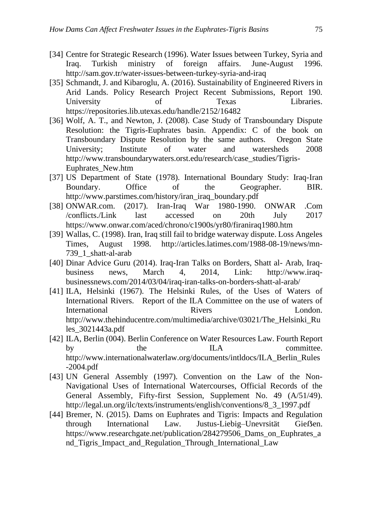- [34] Centre for Strategic Research (1996). Water Issues between Turkey, Syria and Iraq. Turkish ministry of foreign affairs. June-August 1996. http://sam.gov.tr/water-issues-between-turkey-syria-and-iraq
- [35] Schmandt, J. and Kibaroglu, A. (2016). Sustainability of Engineered Rivers in Arid Lands. Policy Research Project Recent Submissions, Report 190. University of Texas Libraries. https://repositories.lib.utexas.edu/handle/2152/16482
- [36] Wolf, A. T., and Newton, J. (2008). Case Study of Transboundary Dispute Resolution: the Tigris-Euphrates basin. Appendix: C of the book on Transboundary Dispute Resolution by the same authors. Oregon State University; Institute of water and watersheds 2008 http://www.transboundarywaters.orst.edu/research/case\_studies/Tigris-Euphrates\_New.htm
- [37] US Department of State (1978). International Boundary Study: Iraq-Iran Boundary. Office of the Geographer. BIR. http://www.parstimes.com/history/iran\_iraq\_boundary.pdf
- [38] ONWAR.com. (2017). Iran-Iraq War 1980-1990. ONWAR .Com /conflicts./Link last accessed on 20th July 2017 https://www.onwar.com/aced/chrono/c1900s/yr80/firaniraq1980.htm
- [39] Wallas, C. (1998). Iran, Iraq still fail to bridge waterway dispute. Loss Angeles Times, August 1998. http://articles.latimes.com/1988-08-19/news/mn-739\_1\_shatt-al-arab
- [40] Dinar Advice Guru (2014). Iraq-Iran Talks on Borders, Shatt al- Arab, Iraqbusiness news, March 4, 2014, Link: http://www.iraqbusinessnews.com/2014/03/04/iraq-iran-talks-on-borders-shatt-al-arab/
- [41] ILA, Helsinki (1967). The Helsinki Rules, of the Uses of Waters of International Rivers. Report of the ILA Committee on the use of waters of International Rivers Rivers London. http://www.thehinducentre.com/multimedia/archive/03021/The\_Helsinki\_Ru les\_3021443a.pdf
- [42] ILA, Berlin (004). Berlin Conference on Water Resources Law. Fourth Report by the ILA committee. http://www.internationalwaterlaw.org/documents/intldocs/ILA\_Berlin\_Rules -2004.pdf
- [43] UN General Assembly (1997). Convention on the Law of the Non-Navigational Uses of International Watercourses, Official Records of the General Assembly, Fifty-first Session, Supplement No. 49 (A/51/49). http://legal.un.org/ilc/texts/instruments/english/conventions/8\_3\_1997.pdf
- [44] Bremer, N. (2015). Dams on Euphrates and Tigris: Impacts and Regulation through International Law. Justus-Liebig–Unevrsität Gießen. https://www.researchgate.net/publication/284279506\_Dams\_on\_Euphrates\_a nd\_Tigris\_Impact\_and\_Regulation\_Through\_International\_Law